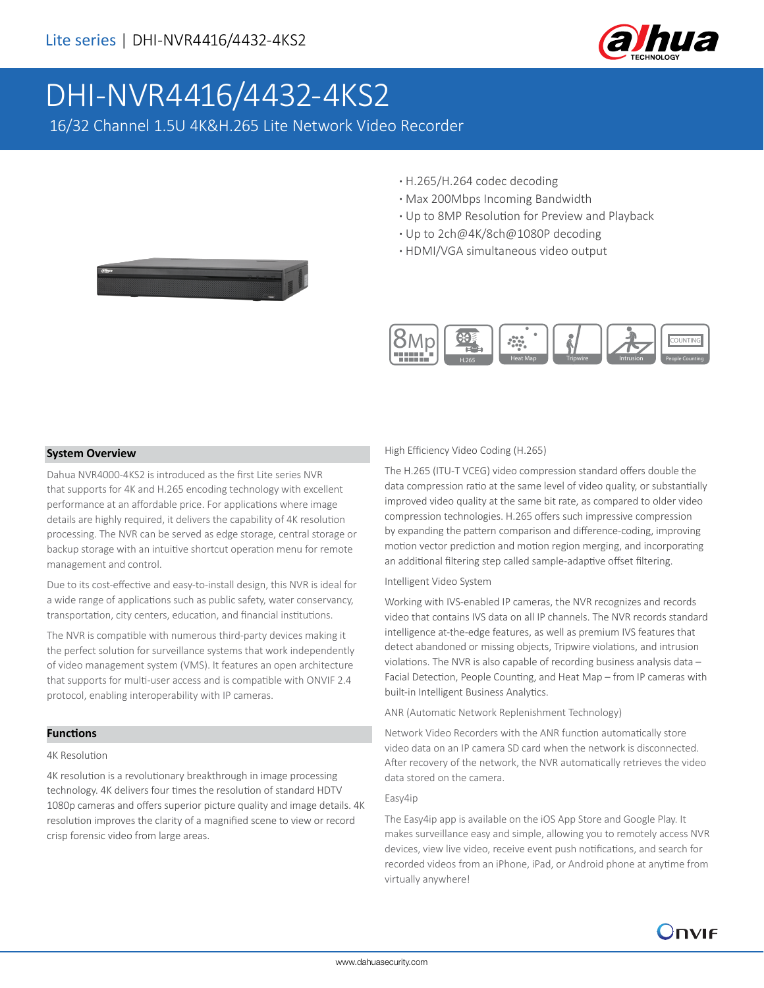

# DHI-NVR4416/4432-4KS2

16/32 Channel 1.5U 4K&H.265 Lite Network Video Recorder

- **·** H.265/H.264 codec decoding
- **·** Max 200Mbps Incoming Bandwidth
- **·** Up to 8MP Resolution for Preview and Playback
- **·** Up to 2ch@4K/8ch@1080P decoding
- **·** HDMI/VGA simultaneous video output



### **System Overview**

Dahua NVR4000-4KS2 is introduced as the first Lite series NVR that supports for 4K and H.265 encoding technology with excellent performance at an affordable price. For applications where image details are highly required, it delivers the capability of 4K resolution processing. The NVR can be served as edge storage, central storage or backup storage with an intuitive shortcut operation menu for remote management and control.

Due to its cost-effective and easy-to-install design, this NVR is ideal for a wide range of applications such as public safety, water conservancy, transportation, city centers, education, and financial institutions.

The NVR is compatible with numerous third-party devices making it the perfect solution for surveillance systems that work independently of video management system (VMS). It features an open architecture that supports for multi-user access and is compatible with ONVIF 2.4 protocol, enabling interoperability with IP cameras.

### **Functions**

### 4K Resolution

4K resolution is a revolutionary breakthrough in image processing technology. 4K delivers four times the resolution of standard HDTV 1080p cameras and offers superior picture quality and image details. 4K resolution improves the clarity of a magnified scene to view or record crisp forensic video from large areas.

### High Efficiency Video Coding (H.265)

The H.265 (ITU-T VCEG) video compression standard offers double the data compression ratio at the same level of video quality, or substantially improved video quality at the same bit rate, as compared to older video compression technologies. H.265 offers such impressive compression by expanding the pattern comparison and difference-coding, improving motion vector prediction and motion region merging, and incorporating an additional filtering step called sample-adaptive offset filtering.

#### Intelligent Video System

Working with IVS-enabled IP cameras, the NVR recognizes and records video that contains IVS data on all IP channels. The NVR records standard intelligence at-the-edge features, as well as premium IVS features that detect abandoned or missing objects, Tripwire violations, and intrusion violations. The NVR is also capable of recording business analysis data – Facial Detection, People Counting, and Heat Map – from IP cameras with built-in Intelligent Business Analytics.

ANR (Automatic Network Replenishment Technology)

Network Video Recorders with the ANR function automatically store video data on an IP camera SD card when the network is disconnected. After recovery of the network, the NVR automatically retrieves the video data stored on the camera.

#### Easy4ip

The Easy4ip app is available on the iOS App Store and Google Play. It makes surveillance easy and simple, allowing you to remotely access NVR devices, view live video, receive event push notifications, and search for recorded videos from an iPhone, iPad, or Android phone at anytime from virtually anywhere!

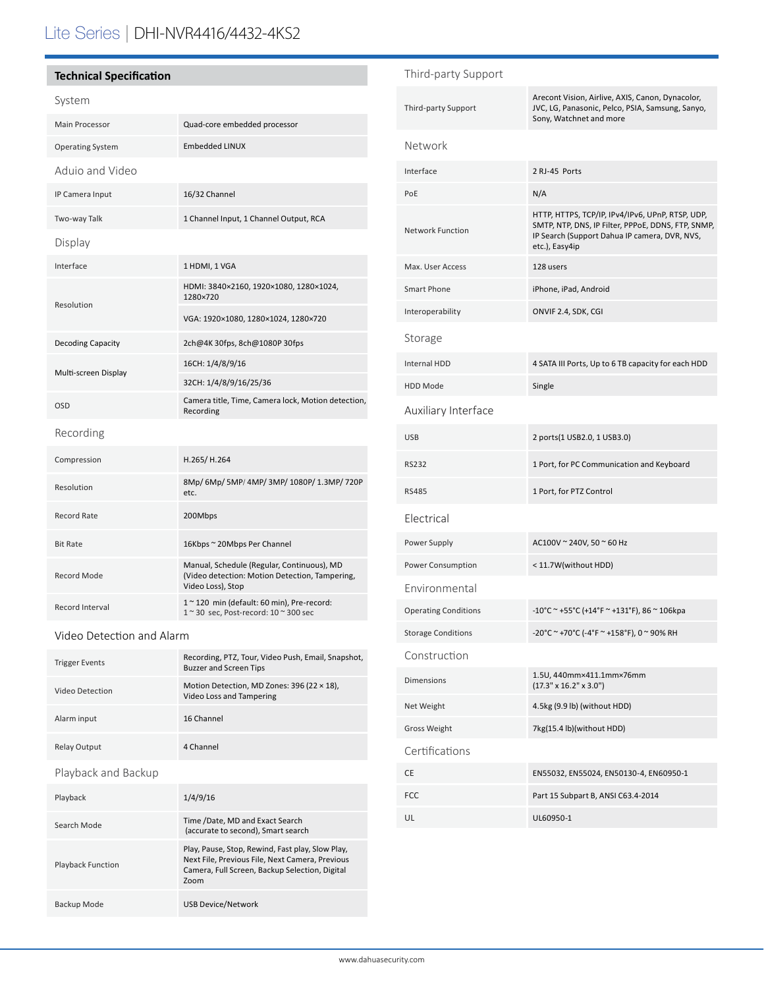# Lite Series | DHI-NVR4416/4432-4KS2

## **Technical Specification**

# System

| Main Processor          | Quad-core embedded processor                                                                                      |  |
|-------------------------|-------------------------------------------------------------------------------------------------------------------|--|
| <b>Operating System</b> | <b>Embedded LINUX</b>                                                                                             |  |
| Aduio and Video         |                                                                                                                   |  |
| IP Camera Input         | 16/32 Channel                                                                                                     |  |
| Two-way Talk            | 1 Channel Input, 1 Channel Output, RCA                                                                            |  |
| Display                 |                                                                                                                   |  |
| Interface               | 1 HDMI, 1 VGA                                                                                                     |  |
| Resolution              | HDMI: 3840×2160, 1920×1080, 1280×1024,<br>1280×720                                                                |  |
|                         | VGA: 1920×1080, 1280×1024, 1280×720                                                                               |  |
| Decoding Capacity       | 2ch@4K 30fps, 8ch@1080P 30fps                                                                                     |  |
| Multi-screen Display    | 16CH: 1/4/8/9/16                                                                                                  |  |
|                         | 32CH: 1/4/8/9/16/25/36                                                                                            |  |
| <b>OSD</b>              | Camera title, Time, Camera lock, Motion detection,<br>Recording                                                   |  |
| Recording               |                                                                                                                   |  |
| Compression             | H.265/H.264                                                                                                       |  |
| Resolution              | 8Mp/ 6Mp/ 5MP/ 4MP/ 3MP/ 1080P/ 1.3MP/ 720P<br>etc.                                                               |  |
| <b>Record Rate</b>      | 200Mbps                                                                                                           |  |
| <b>Bit Rate</b>         | 16Kbps ~ 20Mbps Per Channel                                                                                       |  |
| <b>Record Mode</b>      | Manual, Schedule (Regular, Continuous), MD<br>(Video detection: Motion Detection, Tampering,<br>Video Loss), Stop |  |
| Record Interval         | $10$ 120 min (default: 60 min), Pre-record:<br>1 ~ 30 sec, Post-record: 10 ~ 300 sec                              |  |

## Video Detection and Alarm

| <b>Trigger Events</b>    | Recording, PTZ, Tour, Video Push, Email, Snapshot,<br><b>Buzzer and Screen Tips</b>                                                                           |  |
|--------------------------|---------------------------------------------------------------------------------------------------------------------------------------------------------------|--|
| Video Detection          | Motion Detection, MD Zones: 396 (22 × 18),<br>Video Loss and Tampering                                                                                        |  |
| Alarm input              | 16 Channel                                                                                                                                                    |  |
| <b>Relay Output</b>      | 4 Channel                                                                                                                                                     |  |
| Playback and Backup      |                                                                                                                                                               |  |
| Playback                 | 1/4/9/16                                                                                                                                                      |  |
| Search Mode              | Time /Date, MD and Exact Search<br>(accurate to second), Smart search                                                                                         |  |
| <b>Playback Function</b> | Play, Pause, Stop, Rewind, Fast play, Slow Play,<br>Next File, Previous File, Next Camera, Previous<br>Camera, Full Screen, Backup Selection, Digital<br>Zoom |  |

Backup Mode USB Device/Network

| Third-party Support         |                                                                                                                                                                           |
|-----------------------------|---------------------------------------------------------------------------------------------------------------------------------------------------------------------------|
| Third-party Support         | Arecont Vision, Airlive, AXIS, Canon, Dynacolor,<br>JVC, LG, Panasonic, Pelco, PSIA, Samsung, Sanyo,<br>Sony, Watchnet and more                                           |
| Network                     |                                                                                                                                                                           |
| Interface                   | 2 RJ-45 Ports                                                                                                                                                             |
| PoE                         | N/A                                                                                                                                                                       |
| <b>Network Function</b>     | HTTP, HTTPS, TCP/IP, IPv4/IPv6, UPnP, RTSP, UDP,<br>SMTP, NTP, DNS, IP Filter, PPPoE, DDNS, FTP, SNMP,<br>IP Search (Support Dahua IP camera, DVR, NVS,<br>etc.), Easy4ip |
| Max. User Access            | 128 users                                                                                                                                                                 |
| <b>Smart Phone</b>          | iPhone, iPad, Android                                                                                                                                                     |
| Interoperability            | ONVIF 2.4, SDK, CGI                                                                                                                                                       |
| Storage                     |                                                                                                                                                                           |
| <b>Internal HDD</b>         | 4 SATA III Ports, Up to 6 TB capacity for each HDD                                                                                                                        |
| <b>HDD Mode</b>             | Single                                                                                                                                                                    |
| Auxiliary Interface         |                                                                                                                                                                           |
| <b>USB</b>                  | 2 ports(1 USB2.0, 1 USB3.0)                                                                                                                                               |
| <b>RS232</b>                | 1 Port, for PC Communication and Keyboard                                                                                                                                 |
| <b>RS485</b>                | 1 Port, for PTZ Control                                                                                                                                                   |
| Electrical                  |                                                                                                                                                                           |
| Power Supply                | AC100V ~ 240V, 50 ~ 60 Hz                                                                                                                                                 |
| Power Consumption           | < 11.7W(without HDD)                                                                                                                                                      |
| Environmental               |                                                                                                                                                                           |
| <b>Operating Conditions</b> | -10°C ~ +55°C (+14°F ~ +131°F), 86 ~ 106kpa                                                                                                                               |
| <b>Storage Conditions</b>   | -20°C ~ +70°C (-4°F ~ +158°F), 0 ~ 90% RH                                                                                                                                 |
| Construction                |                                                                                                                                                                           |
| <b>Dimensions</b>           | 1.5U, 440mm×411.1mm×76mm<br>$(17.3" \times 16.2" \times 3.0")$                                                                                                            |
| Net Weight                  | 4.5kg (9.9 lb) (without HDD)                                                                                                                                              |
| <b>Gross Weight</b>         | 7kg(15.4 lb)(without HDD)                                                                                                                                                 |
| Certifications              |                                                                                                                                                                           |
| CE                          | EN55032, EN55024, EN50130-4, EN60950-1                                                                                                                                    |
| <b>FCC</b>                  | Part 15 Subpart B, ANSI C63.4-2014                                                                                                                                        |
| UL                          | UL60950-1                                                                                                                                                                 |